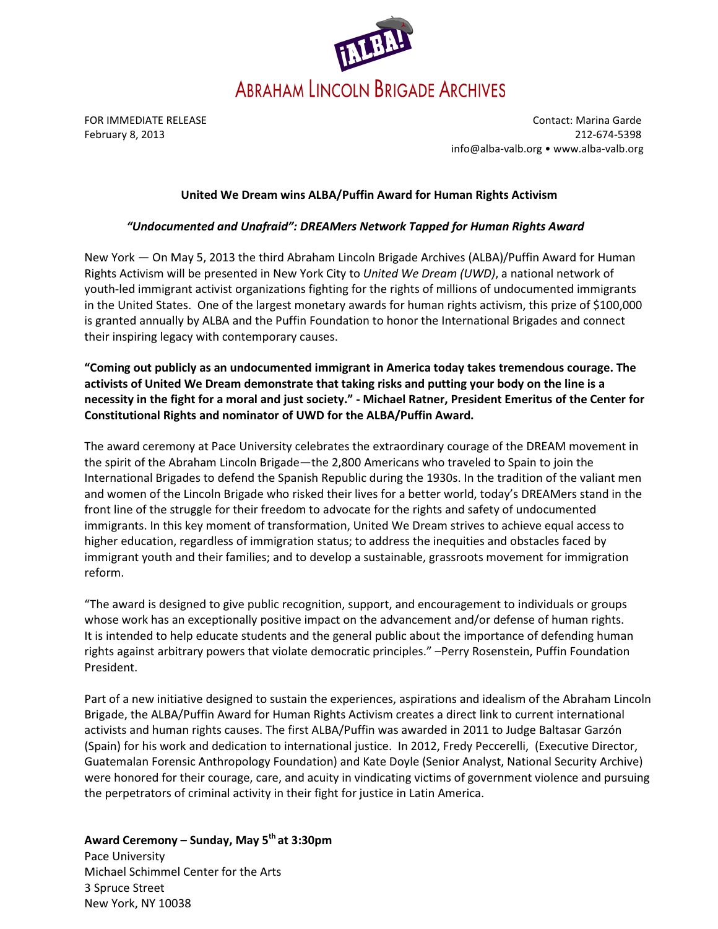

FOR IMMEDIATE RELEASE Contact: Marina Garde February 8, 2013 212-674-5398 info@alba-valb.org • www.alba-valb.org

## United We Dream wins ALBA/Puffin Award for Human Rights Activism

# "Undocumented and Unafraid": DREAMers Network Tapped for Human Rights Award

New York — On May 5, 2013 the third Abraham Lincoln Brigade Archives (ALBA)/Puffin Award for Human Rights Activism will be presented in New York City to United We Dream (UWD), a national network of youth-led immigrant activist organizations fighting for the rights of millions of undocumented immigrants in the United States. One of the largest monetary awards for human rights activism, this prize of \$100,000 is granted annually by ALBA and the Puffin Foundation to honor the International Brigades and connect their inspiring legacy with contemporary causes.

"Coming out publicly as an undocumented immigrant in America today takes tremendous courage. The activists of United We Dream demonstrate that taking risks and putting your body on the line is a necessity in the fight for a moral and just society." - Michael Ratner, President Emeritus of the Center for Constitutional Rights and nominator of UWD for the ALBA/Puffin Award.

The award ceremony at Pace University celebrates the extraordinary courage of the DREAM movement in the spirit of the Abraham Lincoln Brigade—the 2,800 Americans who traveled to Spain to join the International Brigades to defend the Spanish Republic during the 1930s. In the tradition of the valiant men and women of the Lincoln Brigade who risked their lives for a better world, today's DREAMers stand in the front line of the struggle for their freedom to advocate for the rights and safety of undocumented immigrants. In this key moment of transformation, United We Dream strives to achieve equal access to higher education, regardless of immigration status; to address the inequities and obstacles faced by immigrant youth and their families; and to develop a sustainable, grassroots movement for immigration reform.

"The award is designed to give public recognition, support, and encouragement to individuals or groups whose work has an exceptionally positive impact on the advancement and/or defense of human rights. It is intended to help educate students and the general public about the importance of defending human rights against arbitrary powers that violate democratic principles." –Perry Rosenstein, Puffin Foundation President.

Part of a new initiative designed to sustain the experiences, aspirations and idealism of the Abraham Lincoln Brigade, the ALBA/Puffin Award for Human Rights Activism creates a direct link to current international activists and human rights causes. The first ALBA/Puffin was awarded in 2011 to Judge Baltasar Garzón (Spain) for his work and dedication to international justice. In 2012, Fredy Peccerelli, (Executive Director, Guatemalan Forensic Anthropology Foundation) and Kate Doyle (Senior Analyst, National Security Archive) were honored for their courage, care, and acuity in vindicating victims of government violence and pursuing the perpetrators of criminal activity in their fight for justice in Latin America.

Award Ceremony – Sunday, May 5<sup>th</sup> at 3:30pm Pace University Michael Schimmel Center for the Arts 3 Spruce Street New York, NY 10038